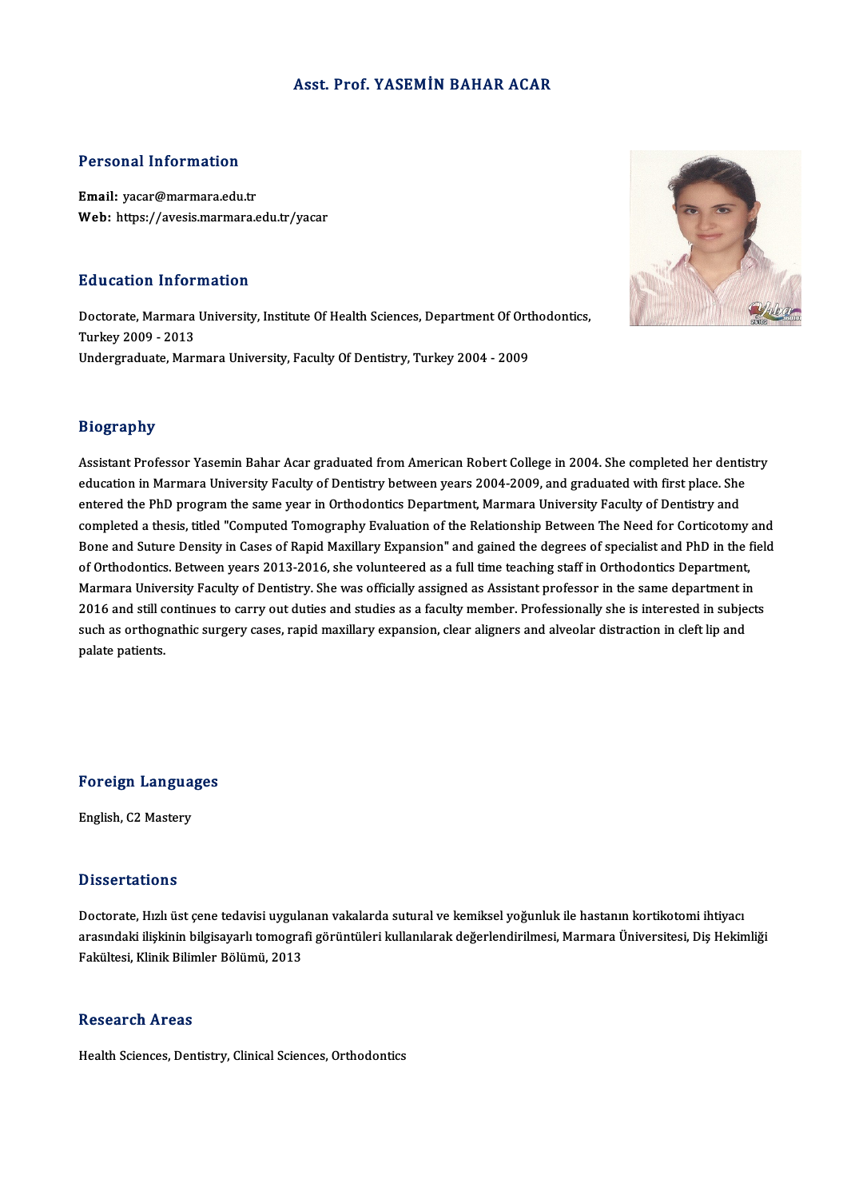## Asst. Prof. YASEMİN BAHAR ACAR

## Personal Information

Email: yacar@marmara.edu.tr Web: https://avesis.marmara.edu.tr/yacar

### Education Information

Education Information<br>Doctorate, Marmara University, Institute Of Health Sciences, Department Of Orthodontics,<br>Turkey 2009 - 2013 Materican Internet<br>Doctorate, Marmara<br>Turkey 2009 - 2013<br>Undergraduate Maru Doctorate, Marmara University, Institute Of Health Sciences, Department Of Ort<br>Turkey 2009 - 2013<br>Undergraduate, Marmara University, Faculty Of Dentistry, Turkey 2004 - 2009 Undergraduate, Marmara University, Faculty Of Dentistry, Turkey 2004 - 2009<br>Biography

Assistant Professor Yasemin Bahar Acar graduated from American Robert College in 2004. She completed her dentistry education in Marmara University Faculty of Dentistry between years 2004-2009, and graduated with first place. She Assistant Professor Yasemin Bahar Acar graduated from American Robert College in 2004. She completed her denti<br>education in Marmara University Faculty of Dentistry between years 2004-2009, and graduated with first place. S education in Marmara University Faculty of Dentistry between years 2004-2009, and graduated with first place. She<br>entered the PhD program the same year in Orthodontics Department, Marmara University Faculty of Dentistry an entered the PhD program the same year in Orthodontics Department, Marmara University Faculty of Dentistry and<br>completed a thesis, titled "Computed Tomography Evaluation of the Relationship Between The Need for Corticotomy completed a thesis, titled "Computed Tomography Evaluation of the Relationship Between The Need for Corticotomy and<br>Bone and Suture Density in Cases of Rapid Maxillary Expansion" and gained the degrees of specialist and Ph Marmara University Faculty of Dentistry. She was officially assigned as Assistant professor in the same department in 2016 and still continues to carry out duties and studies as a faculty member. Professionally she is interested in subjects Marmara University Faculty of Dentistry. She was officially assigned as Assistant professor in the same department in<br>2016 and still continues to carry out duties and studies as a faculty member. Professionally she is inte 2016 and still c<br>such as orthogr<br>palate patients.

Foreign Languages

English, C2 Mastery

#### **Dissertations**

Dissertations<br>Doctorate, Hızlı üst çene tedavisi uygulanan vakalarda sutural ve kemiksel yoğunluk ile hastanın kortikotomi ihtiyacı<br>arasındaki ilişkinin bilgisayarlı temegrafi görüntüleri kullanılarak değerlendirilmesi. Ma arasındaki ilişkinin bilgisayarlı tomografi görüntüleri kullanılarak değerlendirilmesi, Marmara Üniversitesi, Diş Hekimliği<br>Fakültesi, Klinik Bilimler Bölümü, 2013 Doctorate, Hızlı üst çene tedavisi uygula<br>arasındaki ilişkinin bilgisayarlı tomogra<br>Fakültesi, Klinik Bilimler Bölümü, 2013

## Research Areas

Health Sciences, Dentistry, Clinical Sciences, Orthodontics

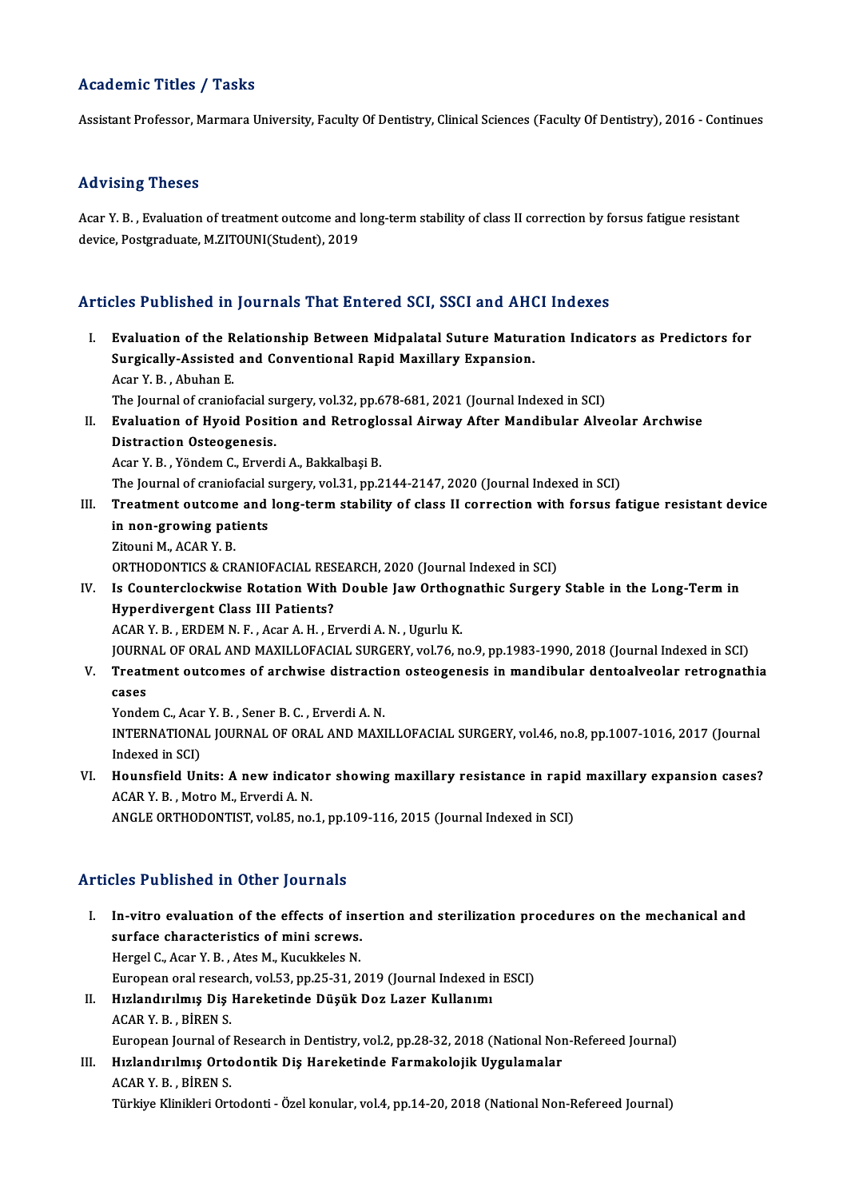## Academic Titles / Tasks

Assistant Professor, Marmara University, Faculty Of Dentistry, Clinical Sciences (Faculty Of Dentistry), 2016 - Continues

## Advising Theses

Acar Y.B., Evaluation of treatment outcome and long-term stability of class II correction by forsus fatigue resistant device, Postgraduate, M.ZITOUNI(Student), 2019

## Articles Published in Journals That Entered SCI, SSCI and AHCI Indexes

- I. Evaluation of the Relationship Between Midpalatal Suture Maturation Indicators as Predictors for Super a Bindhou in Journalis That Bindhou 881, 8881 und 1111<br>Evaluation of the Relationship Between Midpalatal Suture Matura<br>Surgically-Assisted and Conventional Rapid Maxillary Expansion. Evaluation of the R<br>Surgically-Assisted<br>Acar Y. B., Abuhan E.<br>The Journal of grapic Surgically-Assisted and Conventional Rapid Maxillary Expansion.<br>Acar Y. B. , Abuhan E.<br>The Journal of craniofacial surgery, vol.32, pp.678-681, 2021 (Journal Indexed in SCI)<br>Evaluation of Hyoid Bosition and Batraglassal Ai Acar Y. B. , Abuhan E.<br>The Journal of craniofacial surgery, vol.32, pp.678-681, 2021 (Journal Indexed in SCI)<br>II. Evaluation of Hyoid Position and Retroglossal Airway After Mandibular Alveolar Archwise<br>Distraction Osteogon
- The Journal of craniofacial su<br>Evaluation of Hyoid Posit<br>Distraction Osteogenesis.<br>Acer V. B., Vändem G. Enver Evaluation of Hyoid Position and Retroglo<br>Distraction Osteogenesis.<br>Acar Y. B. , Yöndem C., Erverdi A., Bakkalbaşi B.<br>The Journal of graniafasial sursowy vol 31 nn 2 Distraction Osteogenesis.<br>Acar Y. B. , Yöndem C., Erverdi A., Bakkalbaşi B.<br>The Journal of craniofacial surgery, vol.31, pp.2144-2147, 2020 (Journal Indexed in SCI)

- Acar Y. B. , Yöndem C., Erverdi A., Bakkalbaşi B.<br>The Journal of craniofacial surgery, vol.31, pp.2144-2147, 2020 (Journal Indexed in SCI)<br>III. Treatment outcome and long-term stability of class II correction with fors The Journal of craniofacial s<br>Treatment outcome and<br>in non-growing patients<br><sup>7itouni M ACAR V P</sub></sup> Treatment outcome<br>in non-growing pat<br>Zitouni M., ACAR Y. B.<br>OPTHODONTICS & CR in non-growing patients<br>Zitouni M., ACAR Y. B.<br>ORTHODONTICS & CRANIOFACIAL RESEARCH, 2020 (Journal Indexed in SCI)
	-

Zitouni M., ACAR Y. B.<br>ORTHODONTICS & CRANIOFACIAL RESEARCH, 2020 (Journal Indexed in SCI)<br>IV. Is Counterclockwise Rotation With Double Jaw Orthognathic Surgery Stable in the Long-Term in<br>Hunordivergent Class III Patients? ORTHODONTICS & CRANIOFACIAL RES<br>Is Counterclockwise Rotation With<br>Hyperdivergent Class III Patients? Is Counterclockwise Rotation With Double Jaw Orthog<br>Hyperdivergent Class III Patients?<br>ACAR Y. B., ERDEM N. F., Acar A. H., Erverdi A. N., Ugurlu K.<br>JOUPMAL OF OPAL AND MAYU LOFACIAL SUPCEPY vol.76 n Hyperdivergent Class III Patients?<br>ACAR Y. B. , ERDEM N. F. , Acar A. H. , Erverdi A. N. , Ugurlu K.<br>JOURNAL OF ORAL AND MAXILLOFACIAL SURGERY, vol.76, no.9, pp.1983-1990, 2018 (Journal Indexed in SCI)<br>Treatment outcomes o

ACAR Y. B. , ERDEM N. F. , Acar A. H. , Erverdi A. N. , Ugurlu K.<br>JOURNAL OF ORAL AND MAXILLOFACIAL SURGERY, vol.76, no.9, pp.1983-1990, 2018 (Journal Indexed in SCI)<br>V. Treatment outcomes of archwise distraction osteo JOURN<br><mark>Treati</mark><br>cases<br><sup>Vonde:</sup> Treatment outcomes of archwise distractions<br>Cases<br>Yondem C., Acar Y. B. , Sener B. C. , Erverdi A. N.<br>INTERNATIONAL JOURNAL OF ORAL AND MAYI

INTERNATIONAL JOURNAL OF ORAL AND MAXILLOFACIAL SURGERY, vol.46, no.8, pp.1007-1016, 2017 (Journal Indexed in SCI) Yondem C., Acar<br>INTERNATIONA<br>Indexed in SCI)<br>Houngfield Un INTERNATIONAL JOURNAL OF ORAL AND MAXILLOFACIAL SURGERY, vol.46, no.8, pp.1007-1016, 2017 (Journal<br>Indexed in SCI)<br>VI. Hounsfield Units: A new indicator showing maxillary resistance in rapid maxillary expansion cases?

Indexed in SCI)<br>Hounsfield Units: A new indicat<br>ACAR Y. B. , Motro M., Erverdi A. N.<br>ANCLE OPTHODONTIST, vol 95, no ACAR Y. B. , Motro M., Erverdi A. N.<br>ANGLE ORTHODONTIST, vol.85, no.1, pp.109-116, 2015 (Journal Indexed in SCI)

## Articles Published in Other Journals

- I. In-vitro evaluation of the effects of insertion and sterilization procedures on the mechanical and<br>I. In-vitro evaluation of the effects of insertion and sterilization procedures on the mechanical and<br>surface characteri In-vitro evaluation of the effects of ins<br>surface characteristics of mini screws.<br>Hergel C. Agar V. B., Ates M. Kugukkeles M. In-vitro evaluation of the effects of ins<br>surface characteristics of mini screws.<br>Hergel C., Acar Y. B., Ates M., Kucukkeles N.<br>European arel research vol 52, nn 25, 21, 2. surface characteristics of mini screws.<br>Hergel C., Acar Y. B. , Ates M., Kucukkeles N.<br>European oral research, vol.53, pp.25-31, 2019 (Journal Indexed in ESCI) Hergel C., Acar Y. B., Ates M., Kucukkeles N.<br>European oral research, vol.53, pp.25-31, 2019 (Journal Indexed in<br>II. Hızlandırılmış Diş Hareketinde Düşük Doz Lazer Kullanımı<br>ACAP V. P. PÜREN S. European oral reseal<br>Hızlandırılmış Diş<br>ACAR Y. B. , BİREN S.<br>European Journal of Hızlandırılmış Diş Hareketinde Düşük Doz Lazer Kullanımı<br>ACAR Y. B. , BİREN S.<br>European Journal of Research in Dentistry, vol.2, pp.28-32, 2018 (National Non-Refereed Journal)<br>Hızlandırılmış Ortodontik Diş Hareketinde Farm
	-

ACAR Y. B., BİREN S.<br>European Journal of Research in Dentistry, vol.2, pp.28-32, 2018 (National Nortodontik Diş Hareketinde Farmakolojik Uygulamalar<br>ACAR Y. B., BİREN S. European Journal of<br>Hızlandırılmış Orto<br>ACAR Y. B. , BİREN S.<br>Türkiye Klinikleri Ort

Türkiye Klinikleri Ortodonti - Özel konular, vol.4, pp.14-20, 2018 (National Non-Refereed Journal)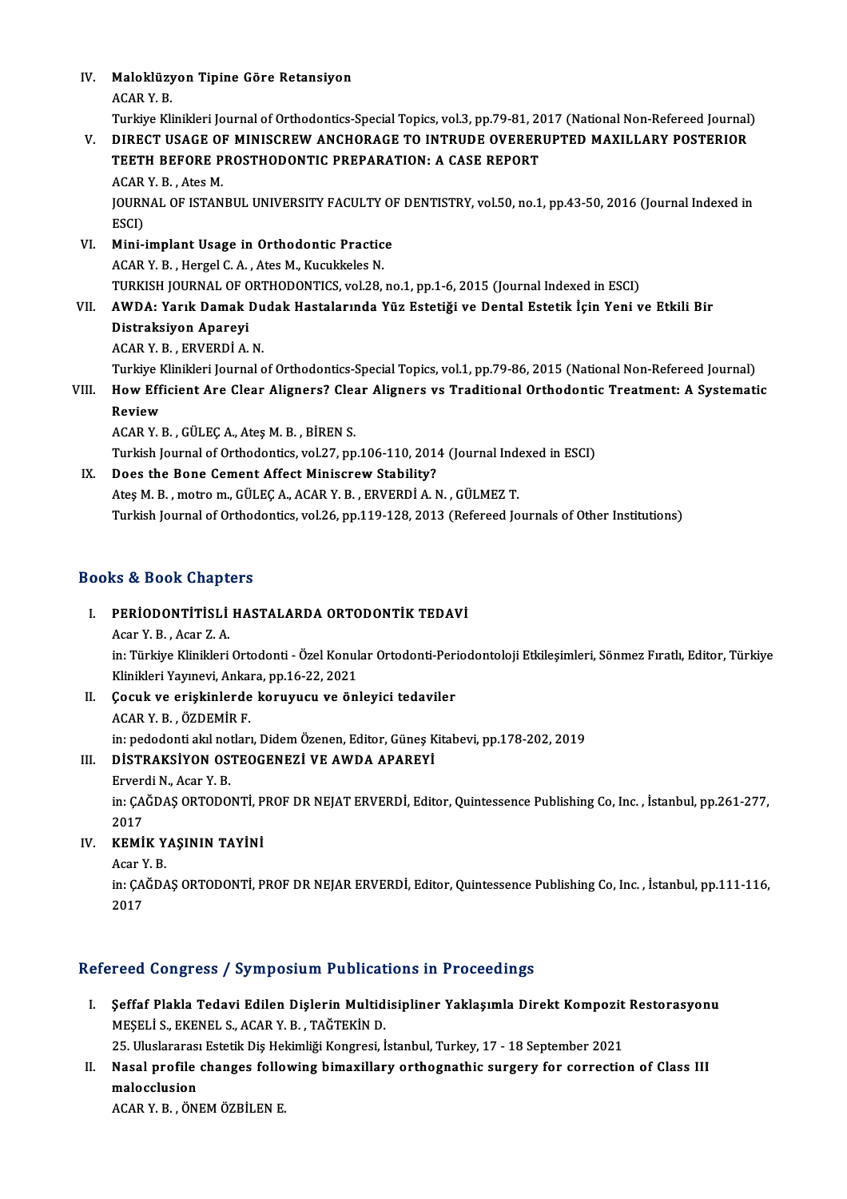IV. Maloklüzyon Tipine Göre Retansiyon Maloklüzy<br>ACAR Y. B.<br>Turkiye Kli

Maloklüzyon Tipine Göre Retansiyon<br>ACAR Y. B.<br>Turkiye Klinikleri Journal of Orthodontics-Special Topics, vol.3, pp.79-81, 2017 (National Non-Refereed Journal)<br>DIRECT USACE OF MINISCREW ANCHORACE TO INTRUDE OVERERURTED MAXI

## ACAR Y. B.<br>Turkiye Klinikleri Journal of Orthodontics-Special Topics, vol.3, pp.79-81, 2017 (National Non-Refereed Journal<br>V. DIRECT USAGE OF MINISCREW ANCHORAGE TO INTRUDE OVERERUPTED MAXILLARY POSTERIOR<br>TEETH REFORE Turkiye Klinikleri Journal of Orthodontics-Special Topics, vol.3, pp.79-81, 20<br>DIRECT USAGE OF MINISCREW ANCHORAGE TO INTRUDE OVERER<br>TEETH BEFORE PROSTHODONTIC PREPARATION: A CASE REPORT DIRECT USAGE OI<br>TEETH BEFORE P<br>ACAR Y. B. , Ates M.<br>JOUPNAL OF ISTAN TEETH BEFORE PROSTHODONTIC PREPARATION: A CASE REPORT<br>ACAR Y. B. , Ates M.<br>JOURNAL OF ISTANBUL UNIVERSITY FACULTY OF DENTISTRY, vol.50, no.1, pp.43-50, 2016 (Journal Indexed in<br>ESCD

ACAR<br>JOURN<br>ESCI)<br>Mini VI. Mini-implant Usage in Orthodontic Practice

- ACAR Y. B., Hergel C. A., Ates M., Kucukkeles N. Mini-implant Usage in Orthodontic Practice<br>ACAR Y. B. , Hergel C. A. , Ates M., Kucukkeles N.<br>TURKISH JOURNAL OF ORTHODONTICS, vol.28, no.1, pp.1-6, 2015 (Journal Indexed in ESCI)<br>AMDA: Varik Damak Dudak Hastalarında Vüz E
- VII. AWDA: Yarık Damak Dudak Hastalarında Yüz Estetiği ve Dental Estetik İçin Yeni ve Etkili Bir<br>Distraksiyon Apareyi TURKISH JOURNAL OF C<br>AWDA: Yarık Damak |<br>Distraksiyon Apareyi<br>ACAB Y B. EBVERDİ A Distraksiyon Apareyi<br>ACAR Y. B. , ERVERDİ A. N.<br>Turkiye Klinikleri Journal of Orthodontics-Special Topics, vol.1, pp.79-86, 2015 (National Non-Refereed Journal)<br>How Efficient Are Clear Alignere? Clear Alignere ve Tredition
	- ACARY.B. ,ERVERDİA.N.

## ACAR Y. B. , ERVERDİ A. N.<br>Turkiye Klinikleri Journal of Orthodontics-Special Topics, vol.1, pp.79-86, 2015 (National Non-Refereed Journal)<br>VIII. How Efficient Are Clear Aligners? Clear Aligners vs Traditional Orthodon Turkiye F<br>How Eff<br>Review<br>ACAR V J How Efficient Are Clear Aligners? Clea<br>Review<br>ACAR Y. B. , GÜLEÇ A., Ateş M. B. , BİREN S.<br>Turkich Journal of Orthodonties vol 27. nn Review<br>ACAR Y. B. , GÜLEÇ A., Ateş M. B. , BİREN S.<br>Turkish Journal of Orthodontics, vol.27, pp.106-110, 2014 (Journal Indexed in ESCI)<br>Pess the Bane Cament Affest Minissnew Stability?

ACAR Y. B., GÜLEÇ A., Ateş M. B., BİREN S.<br>Turkish Journal of Orthodontics, vol.27, pp.106-110, 2014 (Journal Inde<br>IX. Does the Bone Cement Affect Miniscrew Stability?<br>Ates M. B., motro m., GÜLEC A., ACAR Y. B., ERVERDİ A. Turkish Journal of Orthodontics, vol.27, pp.106-110, 2014 (Journal Index)<br>Does the Bone Cement Affect Miniscrew Stability?<br>Ateş M. B. , motro m., GÜLEÇ A., ACAR Y. B. , ERVERDİ A. N. , GÜLMEZ T.<br>Turkish Journal of Orthodon

Turkish Journal of Orthodontics, vol.26, pp.119-128, 2013 (Refereed Journals of Other Institutions)

## Books&Book Chapters

# ooks & Book Chapters<br>I. PERİODONTİTİSLİ HASTALARDA ORTODONTİK TEDAVİ Acar Y.B. , Acar Z.A.<br>Acar Y.B. , Acar Z.A.<br>in: Türkiye Klinikleri

Acar Y. B. , Acar Z. A.<br>in: Türkiye Klinikleri Ortodonti - Özel Konular Ortodonti-Periodontoloji Etkileşimleri, Sönmez Fıratlı, Editor, Türkiye Acar Y. B. , Acar Z. A.<br>in: Türkiye Klinikleri Ortodonti - Özel Konul<br>Klinikleri Yayınevi, Ankara, pp.16-22, 2021<br>Cosult ve eriskinlerde konuvusu ve önl

II. Çocuk ve erişkinlerde koruyucu ve önleyici tedaviler<br>ACAR Y. B., ÖZDEMİR F. Klinikleri Yayınevi, Ankar<br>**Çocuk ve erişkinlerde**<br>ACAR Y. B. , ÖZDEMİR F.<br>in: pededenti elti petleri Cocuk ve erişkinlerde koruyucu ve önleyici tedaviler<br>ACAR Y. B. , ÖZDEMİR F.<br>in: pedodonti akıl notları, Didem Özenen, Editor, Güneş Kitabevi, pp.178-202, 2019<br>DİSTRAKSİYON OSTEOCENEZİ VE AWDA ARAREVİ

## III. DİSTRAKSİYON OSTEOGENEZİ VE AWDA APAREYİ<br>Erverdi N., Acar Y. B.

in: pedodonti akıl no<mark>:</mark><br>DİSTRAKSİYON OS<br>Erverdi N., Acar Y. B.<br>in: CAČDAS OBTODO

DİSTRAKSİYON OSTEOGENEZİ VE AWDA APAREYİ<br>Erverdi N., Acar Y. B.<br>in: ÇAĞDAŞ ORTODONTİ, PROF DR NEJAT ERVERDİ, Editor, Quintessence Publishing Co, Inc. , İstanbul, pp.261-277,<br>2017 Ervere<br>in: ÇA<br>2017<br>KEMİ in: ÇAĞDAŞ ORTODONTİ, P<br>2017<br>IV. KEMİK YAŞININ TAYİNİ<br>Açar V. P

# 2017<br>**KEMİK Y**.<br>Acar Y. B.<br>in: CAČDA

KEMİK YAŞININ TAYİNİ<br>Acar Y. B.<br>in: ÇAĞDAŞ ORTODONTİ, PROF DR NEJAR ERVERDİ, Editor, Quintessence Publishing Co, Inc. , İstanbul, pp.111-116,<br>2017 Acar Y<br>in: ÇA<br>2017

# 2017<br>Refereed Congress / Symposium Publications in Proceedings

efereed Congress / Symposium Publications in Proceedings<br>I. Şeffaf Plakla Tedavi Edilen Dişlerin Multidisipliner Yaklaşımla Direkt Kompozit Restorasyonu<br>MESELLS, EKENELS, AGAR V. B., TAĞTEKİN D MEŞELİ S., EKENEL S., ACAR Y. B., TAĞTEKİN D.<br>MEŞELİ S., EKENEL S., ACAR Y. B., TAĞTEKİN D.<br>25. Uluslararacı Estatik Dis Hakimliği Kansusci İ. Şeffaf Plakla Tedavi Edilen Dişlerin Multidisipliner Yaklaşımla Direkt Kompozit<br>MEŞELİ S., EKENEL S., ACAR Y. B. , TAĞTEKİN D.<br>25. Uluslararası Estetik Diş Hekimliği Kongresi, İstanbul, Turkey, 17 - 18 September 2021<br>Nasal

MEŞELİ S., EKENEL S., ACAR Y. B. , TAĞTEKİN D.<br>25. Uluslararası Estetik Diş Hekimliği Kongresi, İstanbul, Turkey, 17 - 18 September 2021<br>II. Nasal profile changes following bimaxillary orthognathic surgery for correcti 25. Uluslararasi<br>Nasal profile<br>malocclusion<br>ACAB Y B. ÖNI Nasal profile changes follo<br>malocclusion<br>ACAR Y. B. , ÖNEM ÖZBİLEN E.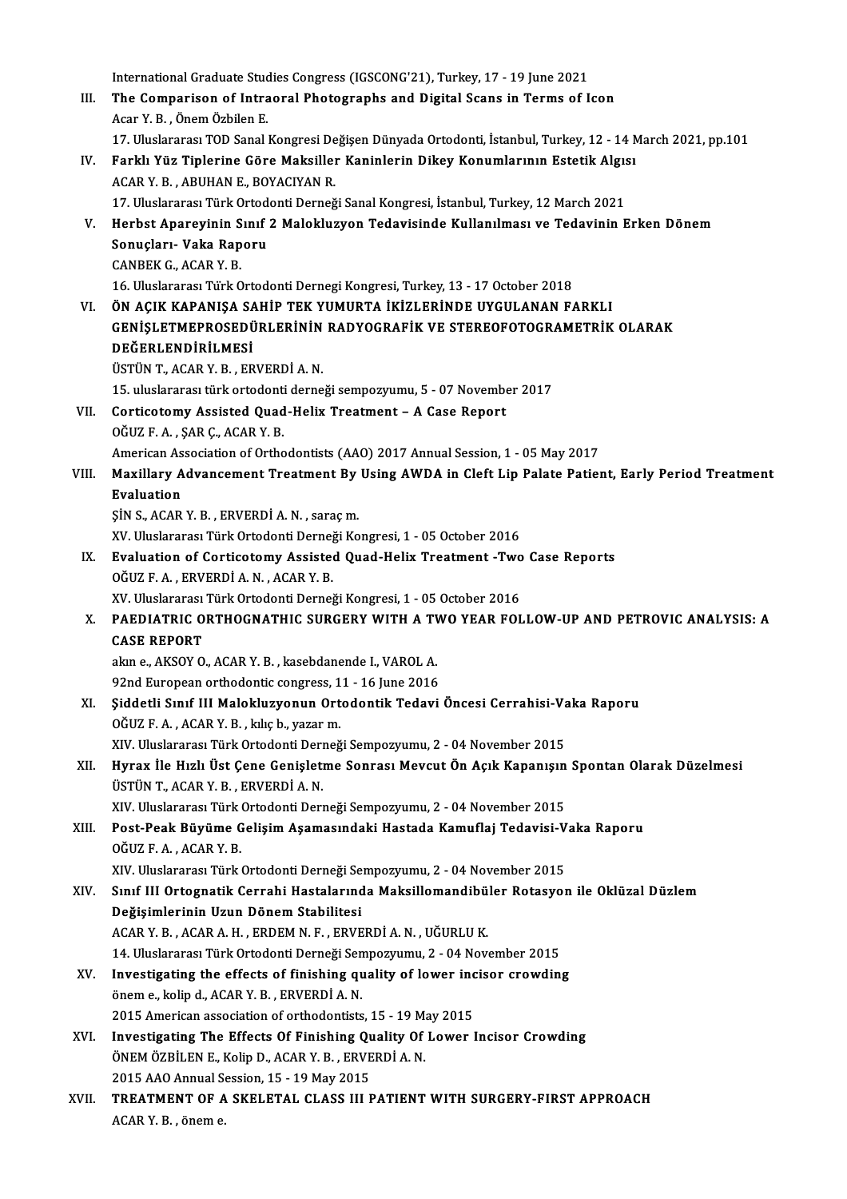International Graduate Studies Congress (IGSCONG'21), Turkey, 17 - 19 June 2021<br>The Companison of Intreapel Photographs and Digital Scape in Tenme of I III. The Comparison of Intraoral Photographs and Digital Scans in Terms of Icon<br>Acar Y. B. Onem Özbilen E. International Graduate Stud<br>The Comparison of Intra<br>Acar Y. B., Önem Özbilen E.<br>17. Uluslararse: TOD Sanal. The Comparison of Intraoral Photographs and Digital Scans in Terms of Icon<br>Acar Y. B. , Önem Özbilen E.<br>17. Uluslararası TOD Sanal Kongresi Değişen Dünyada Ortodonti, İstanbul, Turkey, 12 - 14 March 2021, pp.101<br>Fanklı Vüz Acar Y. B. , Önem Özbilen E.<br>17. Uluslararası TOD Sanal Kongresi Değişen Dünyada Ortodonti, İstanbul, Turkey, 12 - 14 M<br>IV. Farklı Yüz Tiplerine Göre Maksiller Kaninlerin Dikey Konumlarının Estetik Algısı<br>ACAP Y. P. AP 17. Uluslararası TOD Sanal Kongresi De<br>Farklı Yüz Tiplerine Göre Maksilleı<br>ACAR Y. B. , ABUHAN E., BOYACIYAN R.<br>17. Uluslararası Türk Ortodonti Derneğ Farklı Yüz Tiplerine Göre Maksiller Kaninlerin Dikey Konumlarının Estetik Algıs<br>ACAR Y. B. , ABUHAN E., BOYACIYAN R.<br>17. Uluslararası Türk Ortodonti Derneği Sanal Kongresi, İstanbul, Turkey, 12 March 2021<br>Harbet Anarovinin ACAR Y. B. , ABUHAN E., BOYACIYAN R.<br>17. Uluslararası Türk Ortodonti Derneği Sanal Kongresi, İstanbul, Turkey, 12 March 2021<br>17. Herbst Apareyinin Sınıf 2 Malokluzyon Tedavisinde Kullanılması ve Tedavinin Erken Dönem<br>Sonus 17. Uluslararası Türk Ortodonti Derneği Sanal Kongresi, İstanbul, Turkey, 12 March 2021<br>Herbst Apareyinin Sınıf 2 Malokluzyon Tedavisinde Kullanılması ve Tedavinin |<br>Sonuçları- Vaka Raporu<br>CANBEK G., ACAR Y. B. Herbst Apareyinin S<br>Sonuçları- Vaka Rap<br>CANBEK G., ACAR Y. B.<br>16 Hluclararası Türk C 16.UluslararasıTürkOrtodontiDernegiKongresi,Turkey,13 -17October 2018 CANBEK G., ACAR Y. B.<br>16. Uluslararası Türk Ortodonti Dernegi Kongresi, Turkey, 13 - 17 October 2018<br>19. VI. ÖN AÇIK KAPANIŞA SAHİP TEK YUMURTA İKİZLERİNDE UYGULANAN FARKLI<br>19. CENİSI ETMERROSEDÜRI ERİNİN BADYOCRAFİK VE ST GENİŞLETMEPROSEDÜRLERİNİN RADYOGRAFİK VE STEREOFOTOGRAMETRİK OLARAK<br>DEĞERLENDİRİLMESİ ÖN AÇIK KAPANIŞA SA<br>GENİŞLETMEPROSEDÜ<br>DEĞERLENDİRİLMESİ<br>ÜSTÜN TACAR YER ÜSTÜNT.,ACARY.B. ,ERVERDİA.N. DEĞERLENDİRİLMESİ<br>ÜSTÜN T., ACAR Y. B. , ERVERDİ A. N.<br>15. uluslararası türk ortodonti derneği sempozyumu, 5 - 07 November 2017<br>Contigetomu Assisted Qued Holiy Treatment - A Case Benert VII. Corticotomy Assisted Quad-Helix Treatment – A Case Report OĞUZ F. A., SAR C., ACAR Y. B. 15. uluslararası türk ortodonti<br>Corticotomy Assisted Quad<br>OĞUZ F.A., ŞARÇ., ACARY.B. American Association of Orthodontists (AAO) 2017 Annual Session, 1 - 05 May 2017 OĞUZ F. A. , ŞAR Ç., ACAR Y. B.<br>American Association of Orthodontists (AAO) 2017 Annual Session, 1 - 05 May 2017<br>VIII. Maxillary Advancement Treatment By Using AWDA in Cleft Lip Palate Patient, Early Period Treatment<br>F American As<br>Maxillary A<br>Evaluation<br>Sin S. ACAP Maxillary Advancement Treatment By<br>Evaluation<br>ŞİN S., ACAR Y. B. , ERVERDİ A. N. , saraç m.<br>YV. Uluslararası Türk Ortadanti Derneği Ko Evaluation<br>ŞİN S., ACAR Y. B. , ERVERDİ A. N. , saraç m.<br>XV. Uluslararası Türk Ortodonti Derneği Kongresi, 1 - 05 October 2016 SIN S., ACAR Y. B. , ERVERDI A. N. , saraç m.<br>XV. Uluslararası Türk Ortodonti Derneği Kongresi, 1 - 05 October 2016<br>IX. Evaluation of Corticotomy Assisted Quad-Helix Treatment -Two Case Reports<br>OČUZE A. ERVERDI A. N. ACAR XV. Uluslararası Türk Ortodonti Derne<br>Evaluation of Corticotomy Assistee<br>OĞUZ F.A., ERVERDİ A.N., ACAR Y. B.<br>YV. Uluslararası Türk Ortodonti Derne Evaluation of Corticotomy Assisted Quad-Helix Treatment -Two<br>OĞUZ F. A. , ERVERDİ A. N. , ACAR Y. B.<br>XV. Uluslararası Türk Ortodonti Derneği Kongresi, 1 - 05 October 2016<br>PAEDIATRIC ORTHOCNATHIC SURCERY WITH A TWO YEAR FOL OĞUZ F. A. , ERVERDİ A. N. , ACAR Y. B.<br>XV. Uluslararası Türk Ortodonti Derneği Kongresi, 1 - 05 October 2016<br>X. PAEDIATRIC ORTHOGNATHIC SURGERY WITH A TWO YEAR FOLLOW-UP AND PETROVIC ANALYSIS: A<br>CASE REPORT XV. Uluslararası Türk Ortodonti Derneği Kongresi, 1 - 05 October 2016 PAEDIATRIC ORTHOGNATHIC SURGERY WITH A TV<br>CASE REPORT<br>akın e., AKSOY O., ACAR Y. B. , kasebdanende I., VAROL A.<br>92nd Europeen erthodentis sensysses 11 - 16 June 2016 CASE REPORT<br>akın e., AKSOY O., ACAR Y. B. , kasebdanende I., VAROL A.<br>92nd European orthodontic congress, 11 - 16 June 2016<br>Siddetli Sınıf III Malakluguenun Ortadantik Tedevi XI. Şiddetli Sınıf II Malokluzyonun Ortodontik Tedavi Öncesi Cerrahisi-Vaka Raporu OĞUZ F.A. ,ACARY.B. ,kılıçb.,yazarm. XIV. Uluslararası Türk Ortodonti Derneği Sempozyumu, 2 - 04 November 2015 OĞUZ F. A. , ACAR Y. B. , kılıç b., yazar m.<br>XIV. Uluslararası Türk Ortodonti Derneği Sempozyumu, 2 - 04 November 2015<br>XII. Hyrax İle Hızlı Üst Çene Genişletme Sonrası Mevcut Ön Açık Kapanışın Spontan Olarak Düzelmesi<br> XIV. Uluslararası Türk Ortodonti Deri<br>Hyrax İle Hızlı Üst Çene Genişletı<br>ÜSTÜN T., ACAR Y. B. , ERVERDİ A. N.<br>YW. Uluslararası Türk Ortodonti Deri Hyrax İle Hızlı Üst Çene Genişletme Sonrası Mevcut Ön Açık Kapanışın<br>ÜSTÜN T., ACAR Y. B. , ERVERDİ A. N.<br>XIV. Uluslararası Türk Ortodonti Derneği Sempozyumu, 2 - 04 November 2015<br>Post Beak Büyüme Celisim Asemsayı deki Has ÜSTÜN T., ACAR Y. B. , ERVERDİ A. N.<br>XIV. Uluslararası Türk Ortodonti Derneği Sempozyumu, 2 - 04 November 2015<br>XIII. Post-Peak Büyüme Gelişim Aşamasındaki Hastada Kamuflaj Tedavisi-Vaka Raporu<br>OĞUZ E.A. ACAB Y. B XIV. Uluslararası Türk Ortodonti Derneği Sempozyumu, 2 - 04 November 2015<br>Post-Peak Büyüme Gelişim Aşamasındaki Hastada Kamuflaj Tedavisi-V<br>OĞUZ F.A. , ACAR Y. B.<br>XIV. Uluslararası Türk Ortodonti Derneği Sempozyumu, 2 - 04 Post-Peak Büyüme Gelişim Aşamasındaki Hastada Kamuflaj Tedavisi-V<br>OĞUZ F. A. , ACAR Y. B.<br>XIV. Uluslararası Türk Ortodonti Derneği Sempozyumu, 2 - 04 November 2015<br>Sınıf III Ortogratik Cerrabi Hastalarında Maksillemandibül OĞUZ F. A. , ACAR Y. B.<br>XIV. Uluslararası Türk Ortodonti Derneği Sempozyumu, 2 - 04 November 2015<br>XIV. Sınıf III Ortognatik Cerrahi Hastalarında Maksillomandibüler Rotasyon ile Oklüzal Düzlem<br>Değisimlerinin Uzun Dönem Değişimlerinin Uzun Dönem Stabilitesi<br>ACAR Y. B., ACAR A. H., ERDEM N. F., ERVERDİ A. N., UĞURLU K. Sınıf III Ortognatik Cerrahi Hastalarında Maksillomandibü<br>Değişimlerinin Uzun Dönem Stabilitesi<br>ACAR Y. B. , ACAR A. H. , ERDEM N. F. , ERVERDİ A. N. , UĞURLU K.<br>14 Huskarasa Türk Ortodoni Derneği Semnegurumu, 2., 04 Nev Değişimlerinin Uzun Dönem Stabilitesi<br>ACAR Y. B. , ACAR A. H. , ERDEM N. F. , ERVERDİ A. N. , UĞURLU K.<br>14. Uluslararası Türk Ortodonti Derneği Sempozyumu, 2 - 04 November 2015<br>Investisating the effects of finishing avalit ACAR Y. B., ACAR A. H., ERDEM N. F., ERVERDI A. N., UĞURLU K.<br>14. Uluslararası Türk Ortodonti Derneği Sempozyumu, 2 - 04 November 2015<br>XV. Investigating the effects of finishing quality of lower incisor crowding<br>anom a kel 14. Uluslararası Türk Ortodonti Derneği Sen<br>Investigating the effects of finishing qu<br>önem e., kolip d., ACAR Y. B., ERVERDİ A. N. Investigating the effects of finishing quality of lower incoments, kolip d., ACAR Y. B., ERVERDI A. N.<br>2015 American association of orthodontists, 15 - 19 May 2015<br>Investigating The Effects Of Einishing Quality Of Lower I önem e., kolip d., ACAR Y. B. , ERVERDİ A. N.<br>2015 American association of orthodontists, 15 - 19 May 2015<br>XVI. Investigating The Effects Of Finishing Quality Of Lower Incisor Crowding 2015 American association of orthodontists, 15 - 19 M;<br>Investigating The Effects Of Finishing Quality Of<br>ÖNEM ÖZBİLEN E., Kolip D., ACAR Y. B., ERVERDİ A. N. Investigating The Effects Of Finishing Qu<br>ÖNEM ÖZBİLEN E., Kolip D., ACAR Y. B. , ERVE<br>2015 AAO Annual Session, 15 - 19 May 2015<br>TREATMENT OF A SKELETAL GLASS ULL ÖNEM ÖZBİLEN E., Kolip D., ACAR Y. B. , ERVERDİ A. N.<br>2015 AAO Annual Session, 15 - 19 May 2015<br>XVII. TREATMENT OF A SKELETAL CLASS III PATIENT WITH SURGERY-FIRST APPROACH 2015 AAO Annual S<br><mark>TREATMENT OF A</mark><br>ACAR Y. B. , önem e.